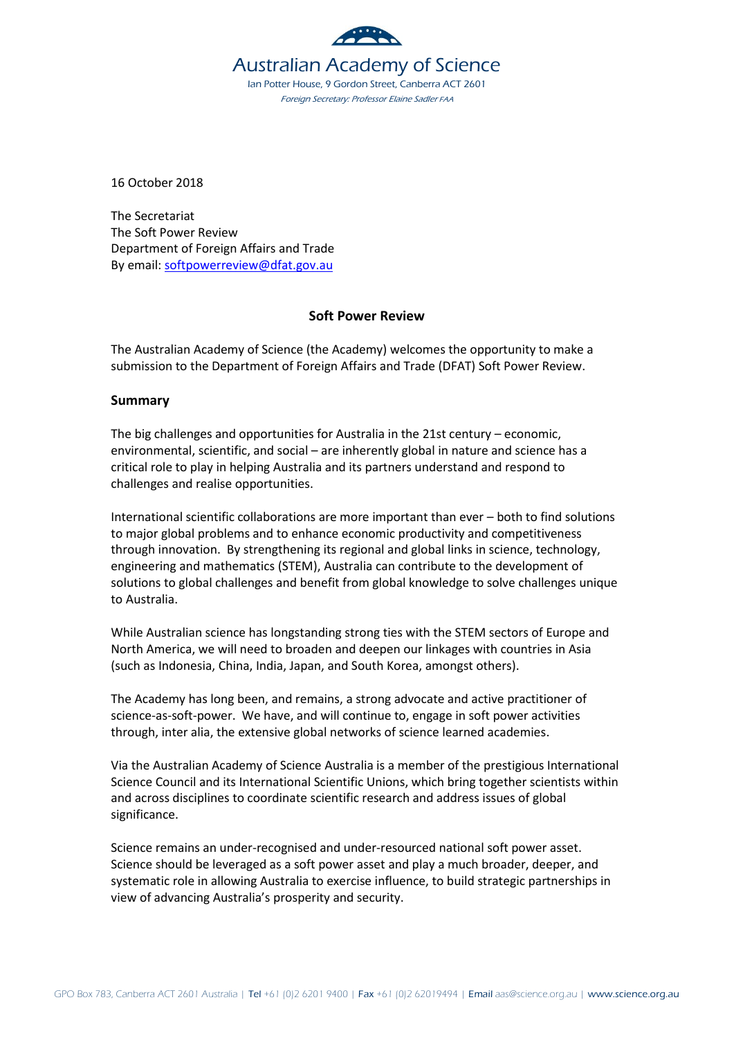

16 October 2018

The Secretariat The Soft Power Review Department of Foreign Affairs and Trade By email: [softpowerreview@dfat.gov.au](mailto:softpowerreview@dfat.gov.au)

#### **Soft Power Review**

The Australian Academy of Science (the Academy) welcomes the opportunity to make a submission to the Department of Foreign Affairs and Trade (DFAT) Soft Power Review.

#### **Summary**

The big challenges and opportunities for Australia in the 21st century – economic, environmental, scientific, and social – are inherently global in nature and science has a critical role to play in helping Australia and its partners understand and respond to challenges and realise opportunities.

International scientific collaborations are more important than ever – both to find solutions to major global problems and to enhance economic productivity and competitiveness through innovation. By strengthening its regional and global links in science, technology, engineering and mathematics (STEM), Australia can contribute to the development of solutions to global challenges and benefit from global knowledge to solve challenges unique to Australia.

While Australian science has longstanding strong ties with the STEM sectors of Europe and North America, we will need to broaden and deepen our linkages with countries in Asia (such as Indonesia, China, India, Japan, and South Korea, amongst others).

The Academy has long been, and remains, a strong advocate and active practitioner of science-as-soft-power. We have, and will continue to, engage in soft power activities through, inter alia, the extensive global networks of science learned academies.

Via the Australian Academy of Science Australia is a member of the prestigious International Science Council and its International Scientific Unions, which bring together scientists within and across disciplines to coordinate scientific research and address issues of global significance.

Science remains an under-recognised and under-resourced national soft power asset. Science should be leveraged as a soft power asset and play a much broader, deeper, and systematic role in allowing Australia to exercise influence, to build strategic partnerships in view of advancing Australia's prosperity and security.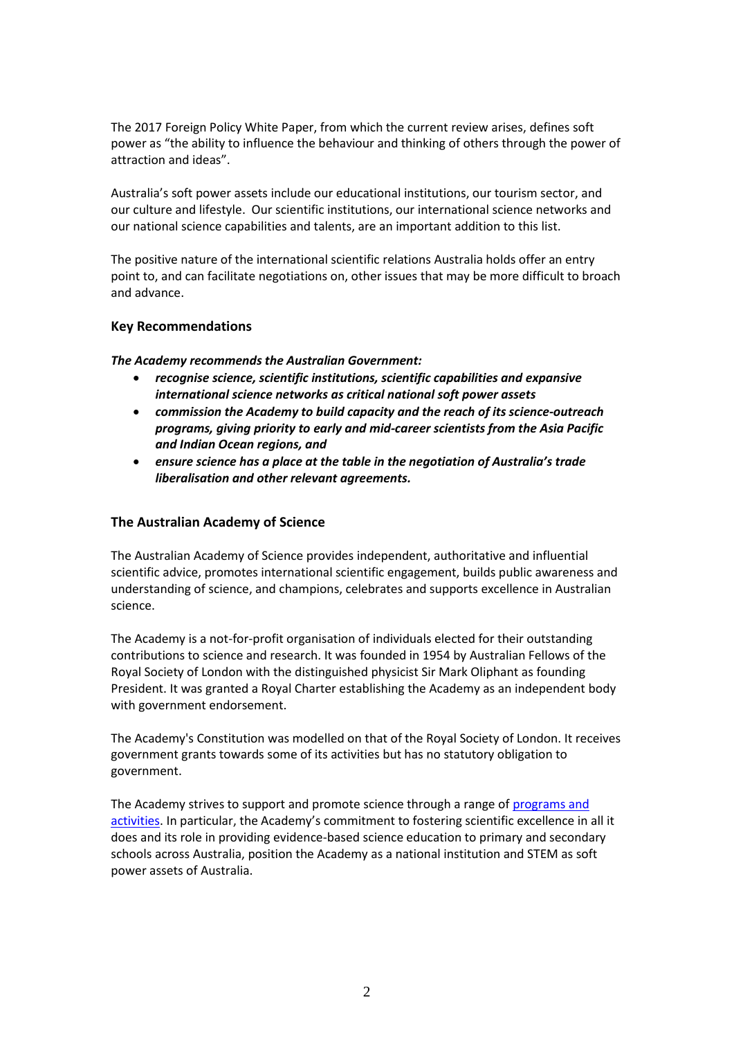The 2017 Foreign Policy White Paper, from which the current review arises, defines soft power as "the ability to influence the behaviour and thinking of others through the power of attraction and ideas".

Australia's soft power assets include our educational institutions, our tourism sector, and our culture and lifestyle. Our scientific institutions, our international science networks and our national science capabilities and talents, are an important addition to this list.

The positive nature of the international scientific relations Australia holds offer an entry point to, and can facilitate negotiations on, other issues that may be more difficult to broach and advance.

#### **Key Recommendations**

*The Academy recommends the Australian Government:*

- *recognise science, scientific institutions, scientific capabilities and expansive international science networks as critical national soft power assets*
- *commission the Academy to build capacity and the reach of its science-outreach programs, giving priority to early and mid-career scientists from the Asia Pacific and Indian Ocean regions, and*
- *ensure science has a place at the table in the negotiation of Australia's trade liberalisation and other relevant agreements.*

### **The Australian Academy of Science**

The Australian Academy of Science provides independent, authoritative and influential scientific advice, promotes international scientific engagement, builds public awareness and understanding of science, and champions, celebrates and supports excellence in Australian science.

The Academy is a not-for-profit organisation of individuals elected for their outstanding contributions to science and research. It was founded in 1954 by Australian Fellows of the Royal Society of London with the distinguished physicist Sir Mark Oliphant as founding President. It was granted a Royal Charter establishing the Academy as an independent body with government endorsement.

The Academy's Constitution was modelled on that of the Royal Society of London. It receives government grants towards some of its activities but has no statutory obligation to government.

The Academy strives to support and promote science through a range of [programs and](https://www.science.org.au/)  [activities.](https://www.science.org.au/) In particular, the Academy's commitment to fostering scientific excellence in all it does and its role in providing evidence-based science education to primary and secondary schools across Australia, position the Academy as a national institution and STEM as soft power assets of Australia.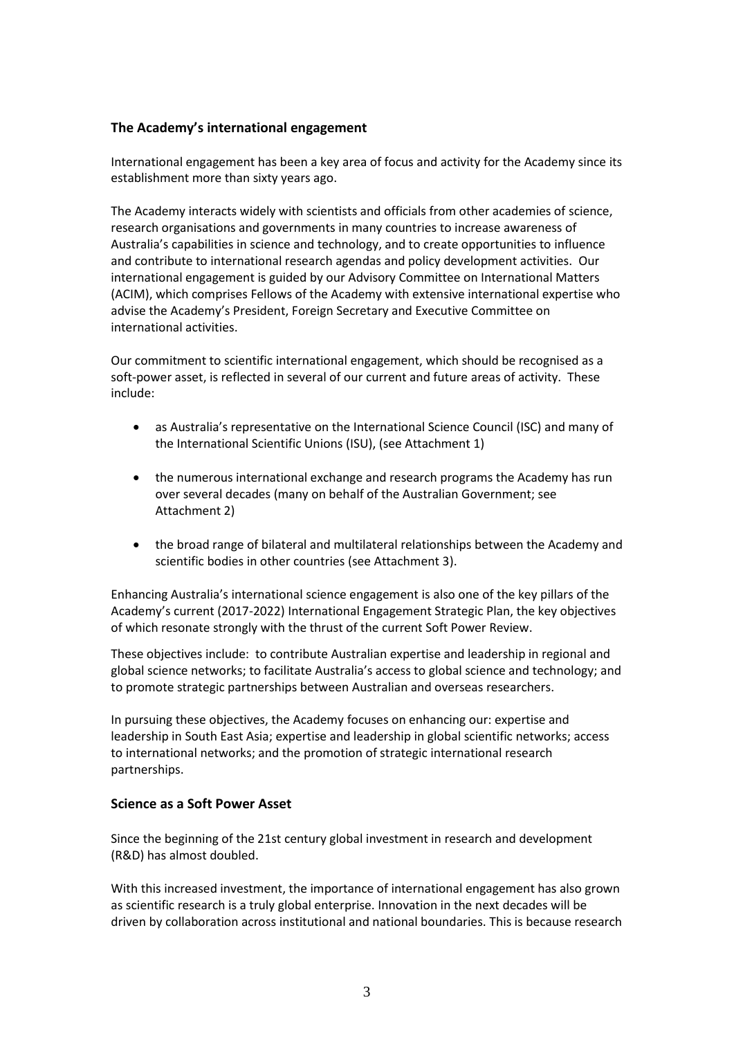# **The Academy's international engagement**

International engagement has been a key area of focus and activity for the Academy since its establishment more than sixty years ago.

The Academy interacts widely with scientists and officials from other academies of science, research organisations and governments in many countries to increase awareness of Australia's capabilities in science and technology, and to create opportunities to influence and contribute to international research agendas and policy development activities. Our international engagement is guided by our Advisory Committee on International Matters (ACIM), which comprises Fellows of the Academy with extensive international expertise who advise the Academy's President, Foreign Secretary and Executive Committee on international activities.

Our commitment to scientific international engagement, which should be recognised as a soft-power asset, is reflected in several of our current and future areas of activity. These include:

- as Australia's representative on the International Science Council (ISC) and many of the International Scientific Unions (ISU), (see Attachment 1)
- the numerous international exchange and research programs the Academy has run over several decades (many on behalf of the Australian Government; see Attachment 2)
- the broad range of bilateral and multilateral relationships between the Academy and scientific bodies in other countries (see Attachment 3).

Enhancing Australia's international science engagement is also one of the key pillars of the Academy's current (2017-2022) International Engagement Strategic Plan, the key objectives of which resonate strongly with the thrust of the current Soft Power Review.

These objectives include: to contribute Australian expertise and leadership in regional and global science networks; to facilitate Australia's access to global science and technology; and to promote strategic partnerships between Australian and overseas researchers.

In pursuing these objectives, the Academy focuses on enhancing our: expertise and leadership in South East Asia; expertise and leadership in global scientific networks; access to international networks; and the promotion of strategic international research partnerships.

# **Science as a Soft Power Asset**

Since the beginning of the 21st century global investment in research and development (R&D) has almost doubled.

With this increased investment, the importance of international engagement has also grown as scientific research is a truly global enterprise. Innovation in the next decades will be driven by collaboration across institutional and national boundaries. This is because research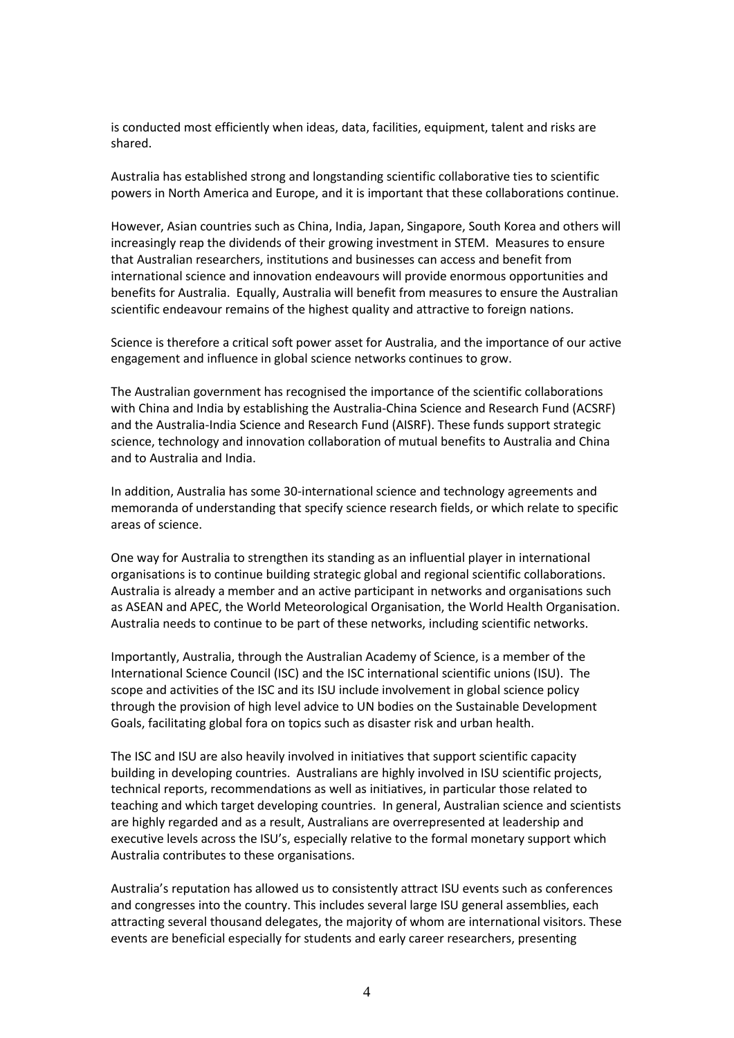is conducted most efficiently when ideas, data, facilities, equipment, talent and risks are shared.

Australia has established strong and longstanding scientific collaborative ties to scientific powers in North America and Europe, and it is important that these collaborations continue.

However, Asian countries such as China, India, Japan, Singapore, South Korea and others will increasingly reap the dividends of their growing investment in STEM. Measures to ensure that Australian researchers, institutions and businesses can access and benefit from international science and innovation endeavours will provide enormous opportunities and benefits for Australia. Equally, Australia will benefit from measures to ensure the Australian scientific endeavour remains of the highest quality and attractive to foreign nations.

Science is therefore a critical soft power asset for Australia, and the importance of our active engagement and influence in global science networks continues to grow.

The Australian government has recognised the importance of the scientific collaborations with China and India by establishing the Australia-China Science and Research Fund (ACSRF) and the Australia-India Science and Research Fund (AISRF). These funds support strategic science, technology and innovation collaboration of mutual benefits to Australia and China and to Australia and India.

In addition, Australia has some 30-international science and technology agreements and memoranda of understanding that specify science research fields, or which relate to specific areas of science.

One way for Australia to strengthen its standing as an influential player in international organisations is to continue building strategic global and regional scientific collaborations. Australia is already a member and an active participant in networks and organisations such as ASEAN and APEC, the World Meteorological Organisation, the World Health Organisation. Australia needs to continue to be part of these networks, including scientific networks.

Importantly, Australia, through the Australian Academy of Science, is a member of the International Science Council (ISC) and the ISC international scientific unions (ISU). The scope and activities of the ISC and its ISU include involvement in global science policy through the provision of high level advice to UN bodies on the Sustainable Development Goals, facilitating global fora on topics such as disaster risk and urban health.

The ISC and ISU are also heavily involved in initiatives that support scientific capacity building in developing countries. Australians are highly involved in ISU scientific projects, technical reports, recommendations as well as initiatives, in particular those related to teaching and which target developing countries. In general, Australian science and scientists are highly regarded and as a result, Australians are overrepresented at leadership and executive levels across the ISU's, especially relative to the formal monetary support which Australia contributes to these organisations.

Australia's reputation has allowed us to consistently attract ISU events such as conferences and congresses into the country. This includes several large ISU general assemblies, each attracting several thousand delegates, the majority of whom are international visitors. These events are beneficial especially for students and early career researchers, presenting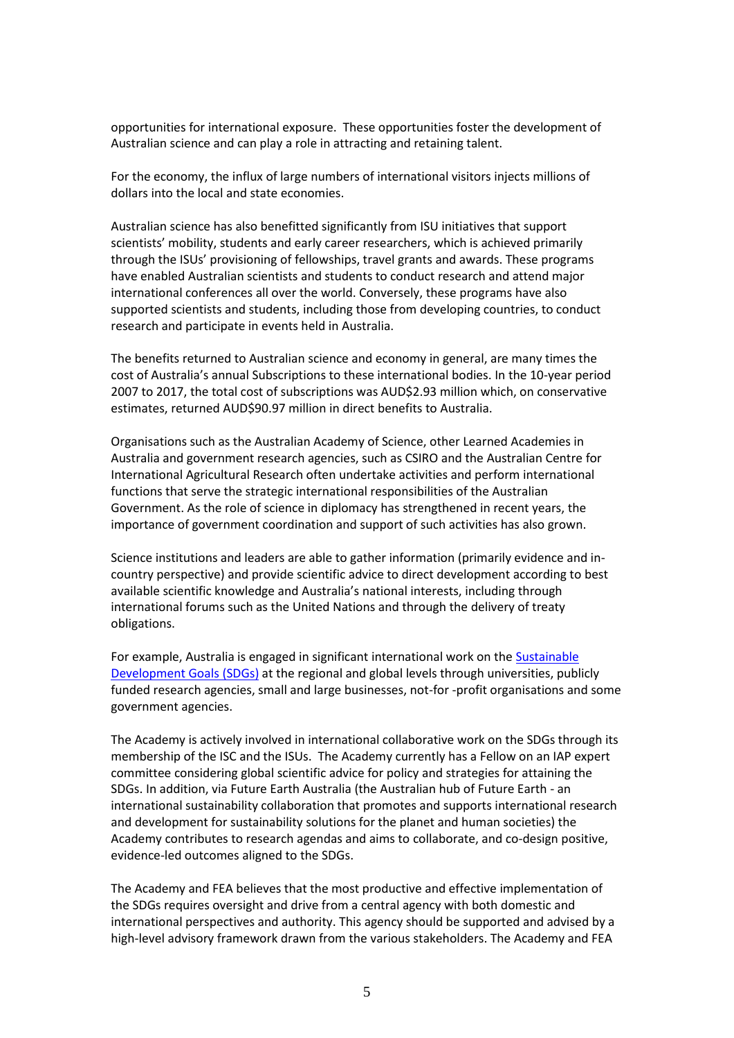opportunities for international exposure. These opportunities foster the development of Australian science and can play a role in attracting and retaining talent.

For the economy, the influx of large numbers of international visitors injects millions of dollars into the local and state economies.

Australian science has also benefitted significantly from ISU initiatives that support scientists' mobility, students and early career researchers, which is achieved primarily through the ISUs' provisioning of fellowships, travel grants and awards. These programs have enabled Australian scientists and students to conduct research and attend major international conferences all over the world. Conversely, these programs have also supported scientists and students, including those from developing countries, to conduct research and participate in events held in Australia.

The benefits returned to Australian science and economy in general, are many times the cost of Australia's annual Subscriptions to these international bodies. In the 10-year period 2007 to 2017, the total cost of subscriptions was AUD\$2.93 million which, on conservative estimates, returned AUD\$90.97 million in direct benefits to Australia.

Organisations such as the Australian Academy of Science, other Learned Academies in Australia and government research agencies, such as CSIRO and the Australian Centre for International Agricultural Research often undertake activities and perform international functions that serve the strategic international responsibilities of the Australian Government. As the role of science in diplomacy has strengthened in recent years, the importance of government coordination and support of such activities has also grown.

Science institutions and leaders are able to gather information (primarily evidence and incountry perspective) and provide scientific advice to direct development according to best available scientific knowledge and Australia's national interests, including through international forums such as the United Nations and through the delivery of treaty obligations.

For example, Australia is engaged in significant international work on the [Sustainable](https://www.un.org/sustainabledevelopment/sustainable-development-goals/)  [Development Goals \(SDGs\)](https://www.un.org/sustainabledevelopment/sustainable-development-goals/) at the regional and global levels through universities, publicly funded research agencies, small and large businesses, not-for -profit organisations and some government agencies.

The Academy is actively involved in international collaborative work on the SDGs through its membership of the ISC and the ISUs. The Academy currently has a Fellow on an IAP expert committee considering global scientific advice for policy and strategies for attaining the SDGs. In addition, via Future Earth Australia (the Australian hub of Future Earth - an international sustainability collaboration that promotes and supports international research and development for sustainability solutions for the planet and human societies) the Academy contributes to research agendas and aims to collaborate, and co-design positive, evidence-led outcomes aligned to the SDGs.

The Academy and FEA believes that the most productive and effective implementation of the SDGs requires oversight and drive from a central agency with both domestic and international perspectives and authority. This agency should be supported and advised by a high-level advisory framework drawn from the various stakeholders. The Academy and FEA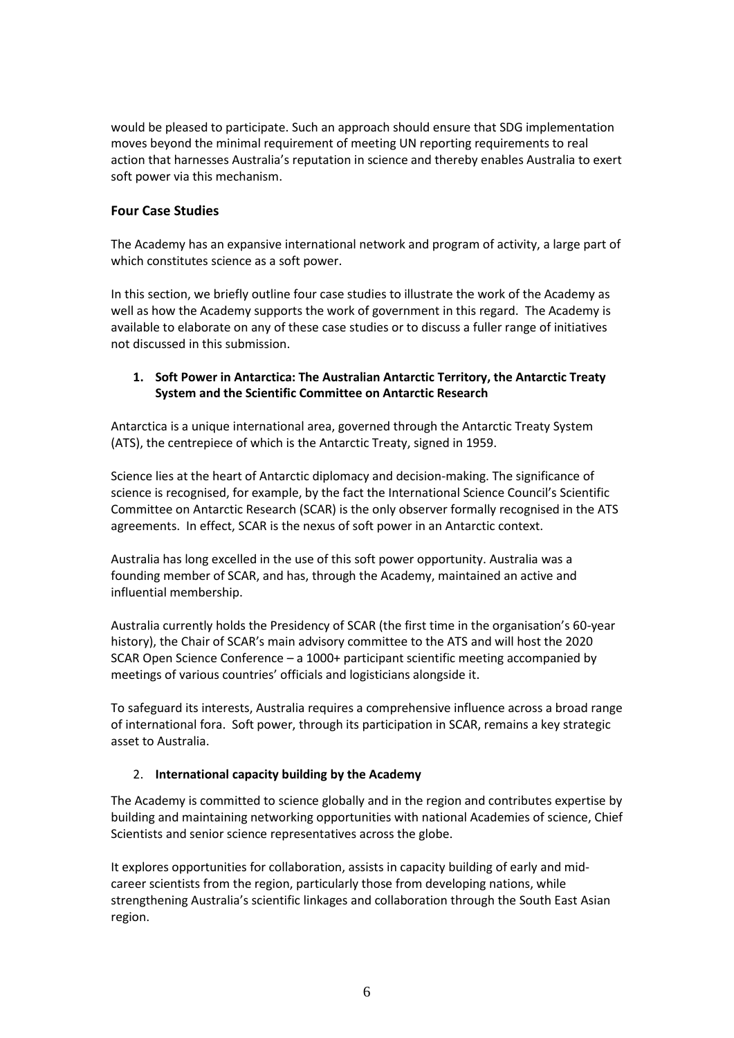would be pleased to participate. Such an approach should ensure that SDG implementation moves beyond the minimal requirement of meeting UN reporting requirements to real action that harnesses Australia's reputation in science and thereby enables Australia to exert soft power via this mechanism.

# **Four Case Studies**

The Academy has an expansive international network and program of activity, a large part of which constitutes science as a soft power.

In this section, we briefly outline four case studies to illustrate the work of the Academy as well as how the Academy supports the work of government in this regard. The Academy is available to elaborate on any of these case studies or to discuss a fuller range of initiatives not discussed in this submission.

### **1. Soft Power in Antarctica: The Australian Antarctic Territory, the Antarctic Treaty System and the Scientific Committee on Antarctic Research**

Antarctica is a unique international area, governed through the Antarctic Treaty System (ATS), the centrepiece of which is the Antarctic Treaty, signed in 1959.

Science lies at the heart of Antarctic diplomacy and decision-making. The significance of science is recognised, for example, by the fact the International Science Council's Scientific Committee on Antarctic Research (SCAR) is the only observer formally recognised in the ATS agreements. In effect, SCAR is the nexus of soft power in an Antarctic context.

Australia has long excelled in the use of this soft power opportunity. Australia was a founding member of SCAR, and has, through the Academy, maintained an active and influential membership.

Australia currently holds the Presidency of SCAR (the first time in the organisation's 60-year history), the Chair of SCAR's main advisory committee to the ATS and will host the 2020 SCAR Open Science Conference – a 1000+ participant scientific meeting accompanied by meetings of various countries' officials and logisticians alongside it.

To safeguard its interests, Australia requires a comprehensive influence across a broad range of international fora. Soft power, through its participation in SCAR, remains a key strategic asset to Australia.

# 2. **International capacity building by the Academy**

The Academy is committed to science globally and in the region and contributes expertise by building and maintaining networking opportunities with national Academies of science, Chief Scientists and senior science representatives across the globe.

It explores opportunities for collaboration, assists in capacity building of early and midcareer scientists from the region, particularly those from developing nations, while strengthening Australia's scientific linkages and collaboration through the South East Asian region.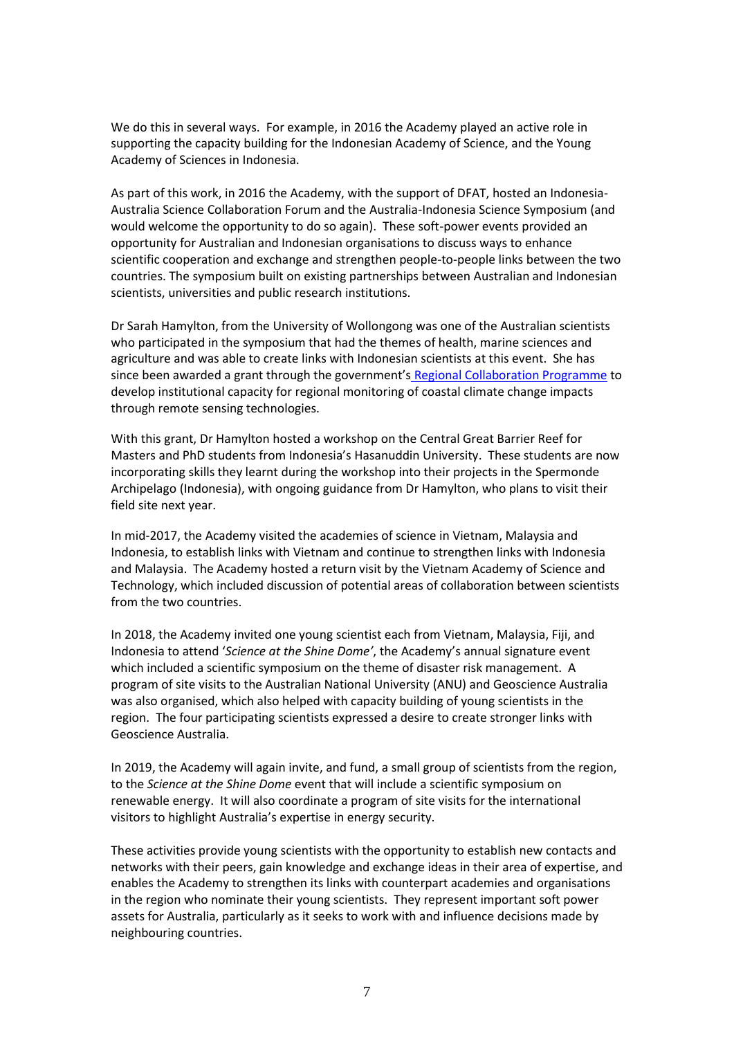We do this in several ways. For example, in 2016 the Academy played an active role in supporting the capacity building for the Indonesian Academy of Science, and the Young Academy of Sciences in Indonesia.

As part of this work, in 2016 the Academy, with the support of DFAT, hosted an Indonesia-Australia Science Collaboration Forum and the Australia-Indonesia Science Symposium (and would welcome the opportunity to do so again). These soft-power events provided an opportunity for Australian and Indonesian organisations to discuss ways to enhance scientific cooperation and exchange and strengthen people-to-people links between the two countries. The symposium built on existing partnerships between Australian and Indonesian scientists, universities and public research institutions.

Dr Sarah Hamylton, from the University of Wollongong was one of the Australian scientists who participated in the symposium that had the themes of health, marine sciences and agriculture and was able to create links with Indonesian scientists at this event. She has since been awarded a grant through the government's [Regional Collaboration](https://www.science.org.au/opportunities/travel/grants-and-exchange/regional-collaborations-programme,) Programme to develop institutional capacity for regional monitoring of coastal climate change impacts through remote sensing technologies.

With this grant, Dr Hamylton hosted a workshop on the Central Great Barrier Reef for Masters and PhD students from Indonesia's Hasanuddin University. These students are now incorporating skills they learnt during the workshop into their projects in the Spermonde Archipelago (Indonesia), with ongoing guidance from Dr Hamylton, who plans to visit their field site next year.

In mid-2017, the Academy visited the academies of science in Vietnam, Malaysia and Indonesia, to establish links with Vietnam and continue to strengthen links with Indonesia and Malaysia. The Academy hosted a return visit by the Vietnam Academy of Science and Technology, which included discussion of potential areas of collaboration between scientists from the two countries.

In 2018, the Academy invited one young scientist each from Vietnam, Malaysia, Fiji, and Indonesia to attend '*Science at the Shine Dome'*, the Academy's annual signature event which included a scientific symposium on the theme of disaster risk management. A program of site visits to the Australian National University (ANU) and Geoscience Australia was also organised, which also helped with capacity building of young scientists in the region. The four participating scientists expressed a desire to create stronger links with Geoscience Australia.

In 2019, the Academy will again invite, and fund, a small group of scientists from the region, to the *Science at the Shine Dome* event that will include a scientific symposium on renewable energy. It will also coordinate a program of site visits for the international visitors to highlight Australia's expertise in energy security.

These activities provide young scientists with the opportunity to establish new contacts and networks with their peers, gain knowledge and exchange ideas in their area of expertise, and enables the Academy to strengthen its links with counterpart academies and organisations in the region who nominate their young scientists. They represent important soft power assets for Australia, particularly as it seeks to work with and influence decisions made by neighbouring countries.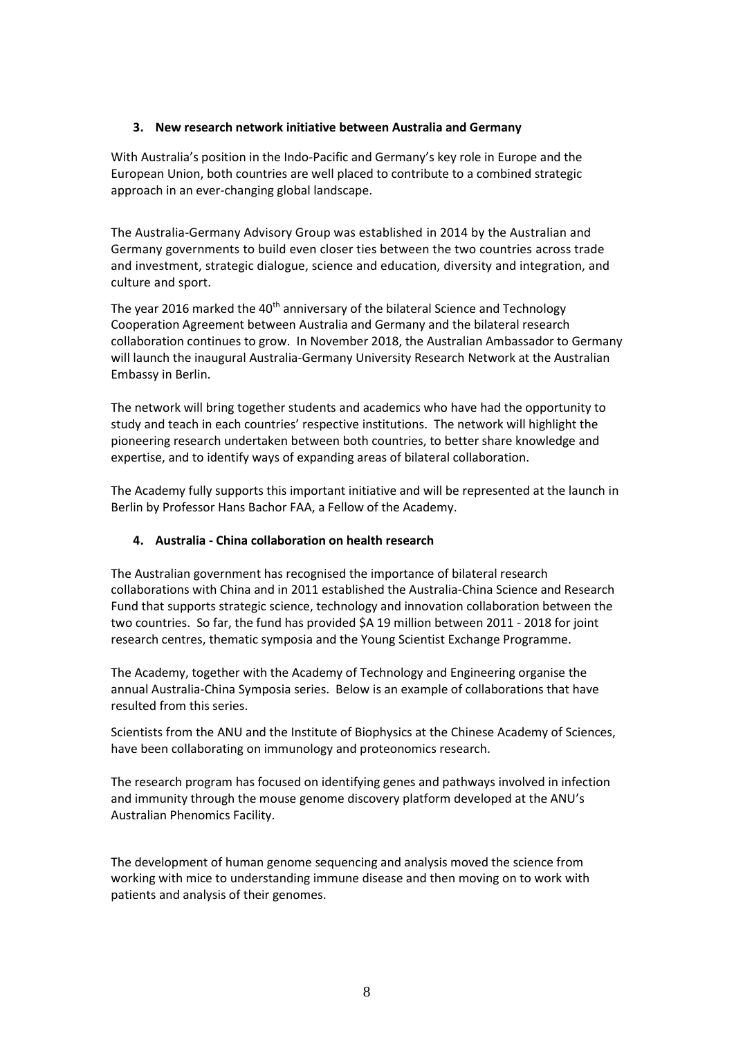### **3. New research network initiative between Australia and Germany**

With Australia's position in the Indo-Pacific and Germany's key role in Europe and the European Union, both countries are well placed to contribute to a combined strategic approach in an ever-changing global landscape.

The Australia-Germany Advisory Group was established in 2014 by the Australian and Germany governments to build even closer ties between the two countries across trade and investment, strategic dialogue, science and education, diversity and integration, and culture and sport.

The year 2016 marked the  $40<sup>th</sup>$  anniversary of the bilateral Science and Technology Cooperation Agreement between Australia and Germany and the bilateral research collaboration continues to grow. In November 2018, the Australian Ambassador to Germany will launch the inaugural Australia-Germany University Research Network at the Australian Embassy in Berlin.

The network will bring together students and academics who have had the opportunity to study and teach in each countries' respective institutions. The network will highlight the pioneering research undertaken between both countries, to better share knowledge and expertise, and to identify ways of expanding areas of bilateral collaboration.

The Academy fully supports this important initiative and will be represented at the launch in Berlin by Professor Hans Bachor FAA, a Fellow of the Academy.

# **4. Australia - China collaboration on health research**

The Australian government has recognised the importance of bilateral research collaborations with China and in 2011 established the Australia-China Science and Research Fund that supports strategic science, technology and innovation collaboration between the two countries. So far, the fund has provided \$A 19 million between 2011 - 2018 for joint research centres, thematic symposia and the Young Scientist Exchange Programme.

The Academy, together with the Academy of Technology and Engineering organise the annual Australia-China Symposia series. Below is an example of collaborations that have resulted from this series.

Scientists from the ANU and the Institute of Biophysics at the Chinese Academy of Sciences, have been collaborating on immunology and proteonomics research.

The research program has focused on identifying genes and pathways involved in infection and immunity through the mouse genome discovery platform developed at the ANU's Australian Phenomics Facility.

The development of human genome sequencing and analysis moved the science from working with mice to understanding immune disease and then moving on to work with patients and analysis of their genomes.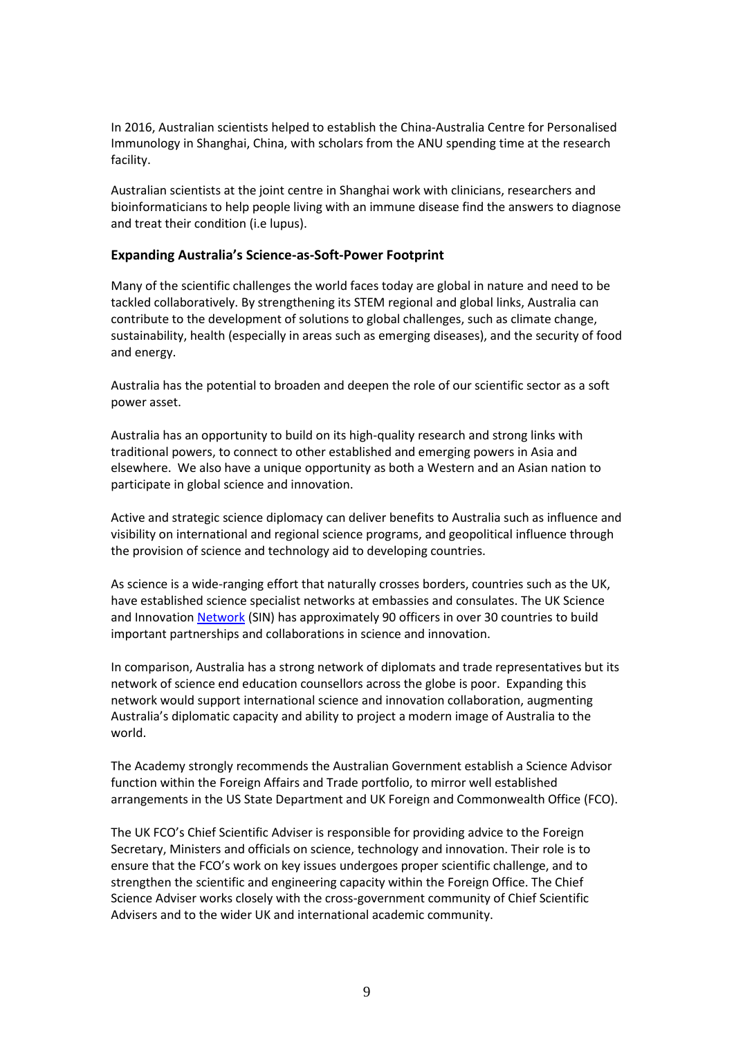In 2016, Australian scientists helped to establish the China-Australia Centre for Personalised Immunology in Shanghai, China, with scholars from the ANU spending time at the research facility.

Australian scientists at the joint centre in Shanghai work with clinicians, researchers and bioinformaticians to help people living with an immune disease find the answers to diagnose and treat their condition (i.e lupus).

#### **Expanding Australia's Science-as-Soft-Power Footprint**

Many of the scientific challenges the world faces today are global in nature and need to be tackled collaboratively. By strengthening its STEM regional and global links, Australia can contribute to the development of solutions to global challenges, such as climate change, sustainability, health (especially in areas such as emerging diseases), and the security of food and energy.

Australia has the potential to broaden and deepen the role of our scientific sector as a soft power asset.

Australia has an opportunity to build on its high-quality research and strong links with traditional powers, to connect to other established and emerging powers in Asia and elsewhere. We also have a unique opportunity as both a Western and an Asian nation to participate in global science and innovation.

Active and strategic science diplomacy can deliver benefits to Australia such as influence and visibility on international and regional science programs, and geopolitical influence through the provision of science and technology aid to developing countries.

As science is a wide-ranging effort that naturally crosses borders, countries such as the UK, have established science specialist networks at embassies and consulates. The UK Science and Innovation [Network](https://www.gov.uk/government/world/organisations/uk-science-and-innovation-network) (SIN) has approximately 90 officers in over 30 countries to build important partnerships and collaborations in science and innovation.

In comparison, Australia has a strong network of diplomats and trade representatives but its network of science end education counsellors across the globe is poor. Expanding this network would support international science and innovation collaboration, augmenting Australia's diplomatic capacity and ability to project a modern image of Australia to the world.

The Academy strongly recommends the Australian Government establish a Science Advisor function within the Foreign Affairs and Trade portfolio, to mirror well established arrangements in the US State Department and UK Foreign and Commonwealth Office (FCO).

The UK FCO's Chief Scientific Adviser is responsible for providing advice to the Foreign Secretary, Ministers and officials on science, technology and innovation. Their role is to ensure that the FCO's work on key issues undergoes proper scientific challenge, and to strengthen the scientific and engineering capacity within the Foreign Office. The Chief Science Adviser works closely with the cross-government community of Chief Scientific Advisers and to the wider UK and international academic community.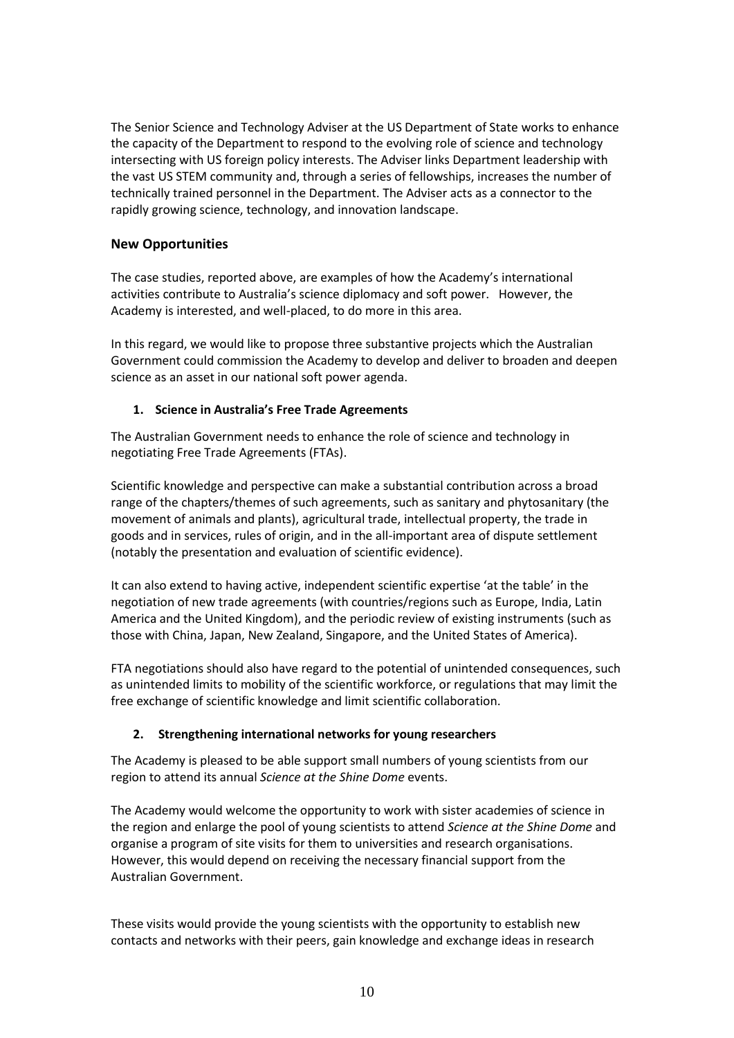The Senior Science and Technology Adviser at the US Department of State works to enhance the capacity of the Department to respond to the evolving role of science and technology intersecting with US foreign policy interests. The Adviser links Department leadership with the vast US STEM community and, through a series of fellowships, increases the number of technically trained personnel in the Department. The Adviser acts as a connector to the rapidly growing science, technology, and innovation landscape.

# **New Opportunities**

The case studies, reported above, are examples of how the Academy's international activities contribute to Australia's science diplomacy and soft power. However, the Academy is interested, and well-placed, to do more in this area.

In this regard, we would like to propose three substantive projects which the Australian Government could commission the Academy to develop and deliver to broaden and deepen science as an asset in our national soft power agenda.

# **1. Science in Australia's Free Trade Agreements**

The Australian Government needs to enhance the role of science and technology in negotiating Free Trade Agreements (FTAs).

Scientific knowledge and perspective can make a substantial contribution across a broad range of the chapters/themes of such agreements, such as sanitary and phytosanitary (the movement of animals and plants), agricultural trade, intellectual property, the trade in goods and in services, rules of origin, and in the all-important area of dispute settlement (notably the presentation and evaluation of scientific evidence).

It can also extend to having active, independent scientific expertise 'at the table' in the negotiation of new trade agreements (with countries/regions such as Europe, India, Latin America and the United Kingdom), and the periodic review of existing instruments (such as those with China, Japan, New Zealand, Singapore, and the United States of America).

FTA negotiations should also have regard to the potential of unintended consequences, such as unintended limits to mobility of the scientific workforce, or regulations that may limit the free exchange of scientific knowledge and limit scientific collaboration.

# **2. Strengthening international networks for young researchers**

The Academy is pleased to be able support small numbers of young scientists from our region to attend its annual *Science at the Shine Dome* events.

The Academy would welcome the opportunity to work with sister academies of science in the region and enlarge the pool of young scientists to attend *Science at the Shine Dome* and organise a program of site visits for them to universities and research organisations. However, this would depend on receiving the necessary financial support from the Australian Government.

These visits would provide the young scientists with the opportunity to establish new contacts and networks with their peers, gain knowledge and exchange ideas in research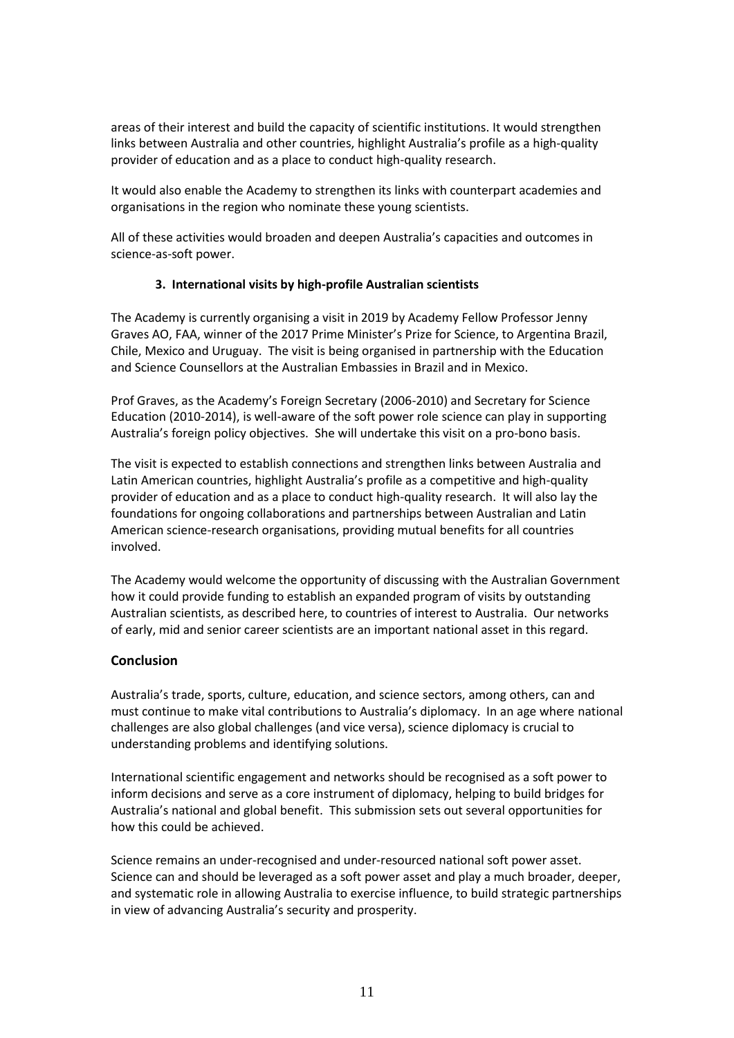areas of their interest and build the capacity of scientific institutions. It would strengthen links between Australia and other countries, highlight Australia's profile as a high-quality provider of education and as a place to conduct high-quality research.

It would also enable the Academy to strengthen its links with counterpart academies and organisations in the region who nominate these young scientists.

All of these activities would broaden and deepen Australia's capacities and outcomes in science-as-soft power.

#### **3. International visits by high-profile Australian scientists**

The Academy is currently organising a visit in 2019 by Academy Fellow Professor Jenny Graves AO, FAA, winner of the 2017 Prime Minister's Prize for Science, to Argentina Brazil, Chile, Mexico and Uruguay. The visit is being organised in partnership with the Education and Science Counsellors at the Australian Embassies in Brazil and in Mexico.

Prof Graves, as the Academy's Foreign Secretary (2006-2010) and Secretary for Science Education (2010-2014), is well-aware of the soft power role science can play in supporting Australia's foreign policy objectives. She will undertake this visit on a pro-bono basis.

The visit is expected to establish connections and strengthen links between Australia and Latin American countries, highlight Australia's profile as a competitive and high-quality provider of education and as a place to conduct high-quality research. It will also lay the foundations for ongoing collaborations and partnerships between Australian and Latin American science-research organisations, providing mutual benefits for all countries involved.

The Academy would welcome the opportunity of discussing with the Australian Government how it could provide funding to establish an expanded program of visits by outstanding Australian scientists, as described here, to countries of interest to Australia. Our networks of early, mid and senior career scientists are an important national asset in this regard.

# **Conclusion**

Australia's trade, sports, culture, education, and science sectors, among others, can and must continue to make vital contributions to Australia's diplomacy. In an age where national challenges are also global challenges (and vice versa), science diplomacy is crucial to understanding problems and identifying solutions.

International scientific engagement and networks should be recognised as a soft power to inform decisions and serve as a core instrument of diplomacy, helping to build bridges for Australia's national and global benefit. This submission sets out several opportunities for how this could be achieved.

Science remains an under-recognised and under-resourced national soft power asset. Science can and should be leveraged as a soft power asset and play a much broader, deeper, and systematic role in allowing Australia to exercise influence, to build strategic partnerships in view of advancing Australia's security and prosperity.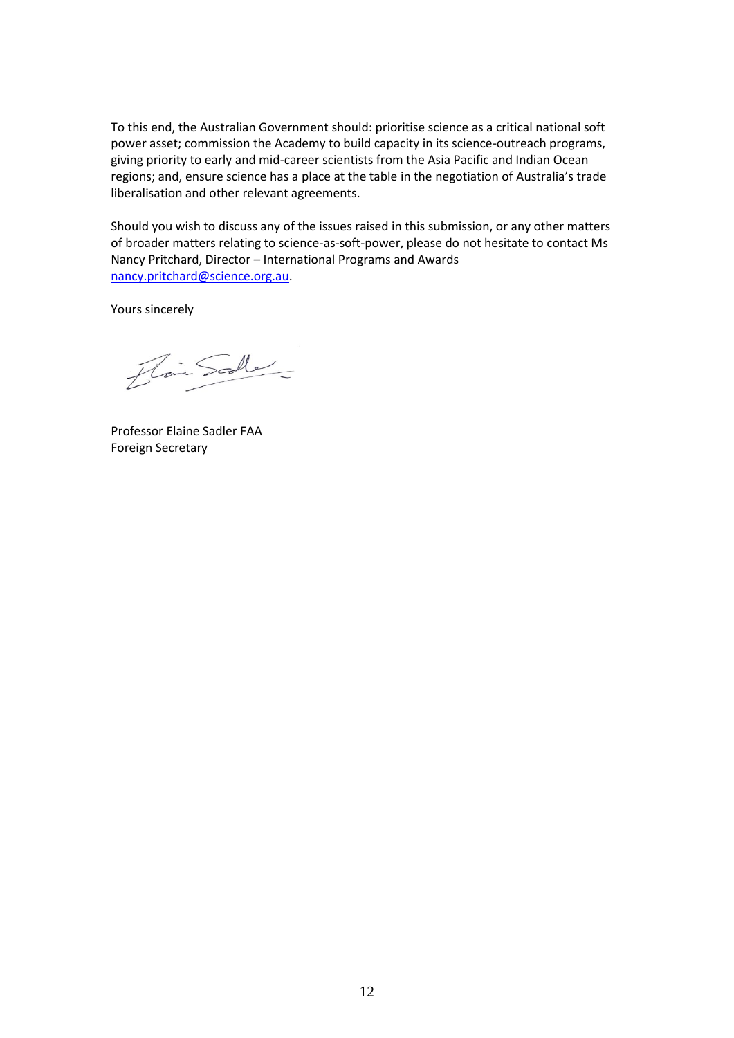To this end, the Australian Government should: prioritise science as a critical national soft power asset; commission the Academy to build capacity in its science-outreach programs, giving priority to early and mid-career scientists from the Asia Pacific and Indian Ocean regions; and, ensure science has a place at the table in the negotiation of Australia's trade liberalisation and other relevant agreements.

Should you wish to discuss any of the issues raised in this submission, or any other matters of broader matters relating to science-as-soft-power, please do not hesitate to contact Ms Nancy Pritchard, Director – International Programs and Awards [nancy.pritchard@science.org.au.](mailto:nancy.pritchard@science.org.au)

Yours sincerely

Flair Scole

Professor Elaine Sadler FAA Foreign Secretary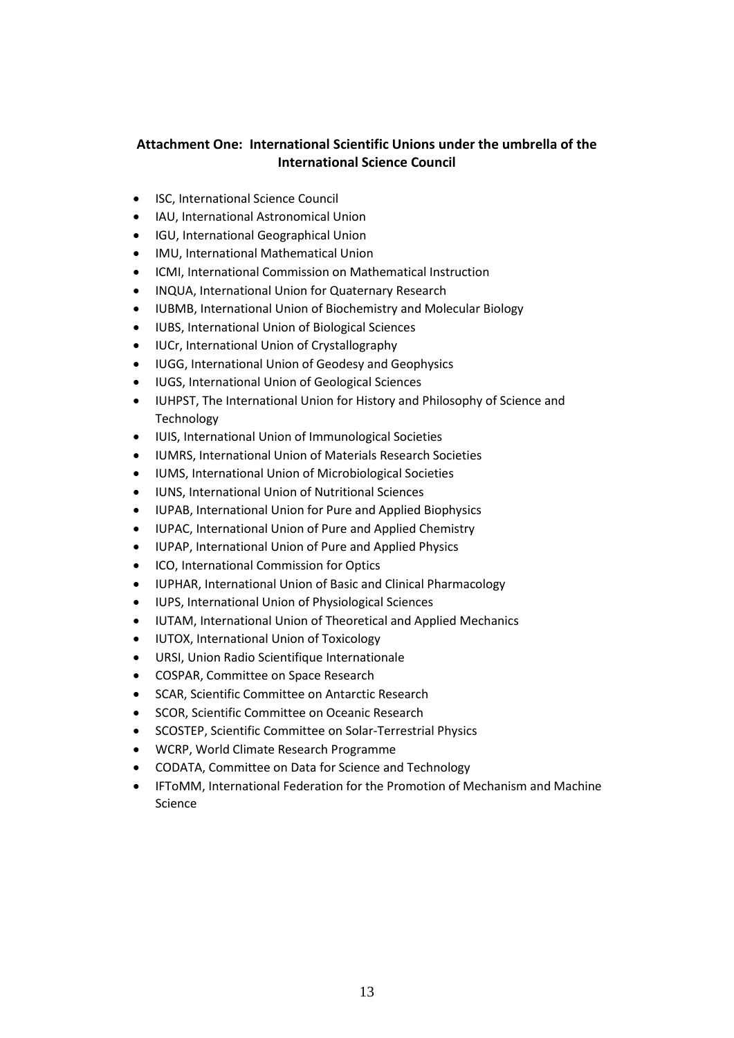# **Attachment One: International Scientific Unions under the umbrella of the International Science Council**

- ISC, International Science Council
- IAU, International Astronomical Union
- IGU, International Geographical Union
- IMU, International Mathematical Union
- ICMI, International Commission on Mathematical Instruction
- INQUA, International Union for Quaternary Research
- IUBMB, International Union of Biochemistry and Molecular Biology
- IUBS, International Union of Biological Sciences
- IUCr, International Union of Crystallography
- IUGG, International Union of Geodesy and Geophysics
- IUGS, International Union of Geological Sciences
- IUHPST, The International Union for History and Philosophy of Science and Technology
- IUIS, International Union of Immunological Societies
- IUMRS, International Union of Materials Research Societies
- IUMS, International Union of Microbiological Societies
- IUNS, International Union of Nutritional Sciences
- IUPAB, International Union for Pure and Applied Biophysics
- IUPAC, International Union of Pure and Applied Chemistry
- IUPAP, International Union of Pure and Applied Physics
- ICO, International Commission for Optics
- IUPHAR, International Union of Basic and Clinical Pharmacology
- IUPS, International Union of Physiological Sciences
- IUTAM, International Union of Theoretical and Applied Mechanics
- IUTOX, International Union of Toxicology
- URSI, Union Radio Scientifique Internationale
- COSPAR, Committee on Space Research
- SCAR, Scientific Committee on Antarctic Research
- SCOR, Scientific Committee on Oceanic Research
- SCOSTEP, Scientific Committee on Solar-Terrestrial Physics
- WCRP, World Climate Research Programme
- CODATA, Committee on Data for Science and Technology
- IFToMM, International Federation for the Promotion of Mechanism and Machine Science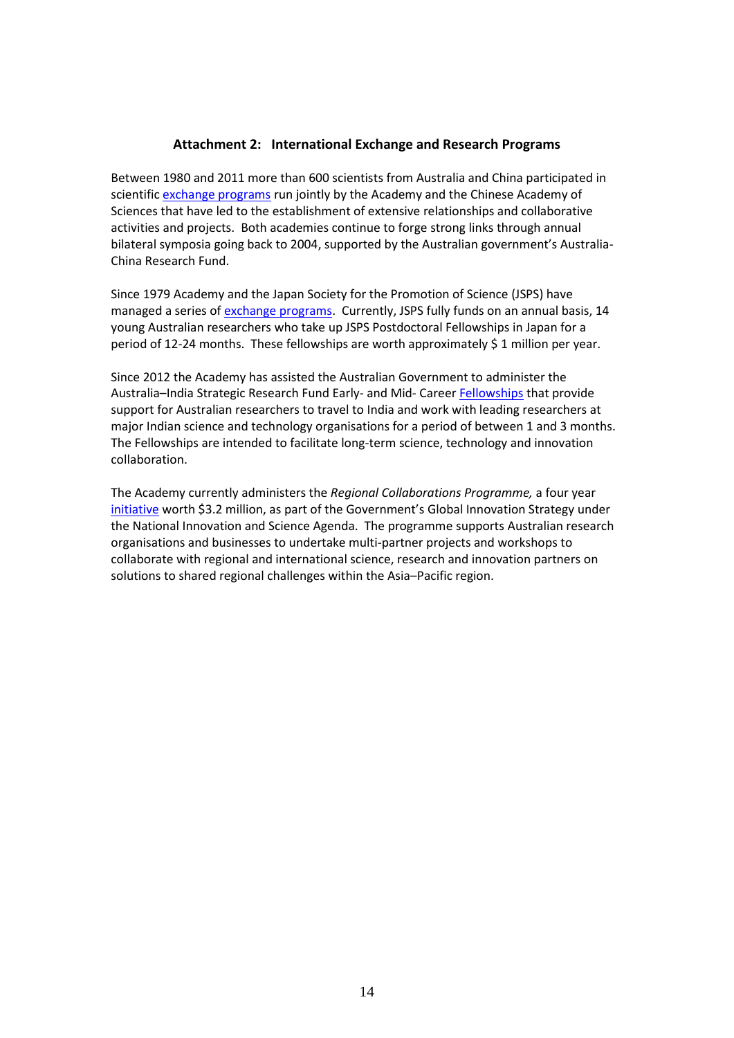#### **Attachment 2: International Exchange and Research Programs**

Between 1980 and 2011 more than 600 scientists from Australia and China participated in scientific [exchange programs](http://english.ciomp.cas.cn/News/News_son/201808/t20180830_196814.html) run jointly by the Academy and the Chinese Academy of Sciences that have led to the establishment of extensive relationships and collaborative activities and projects. Both academies continue to forge strong links through annual bilateral symposia going back to 2004, supported by the Australian government's Australia-China Research Fund.

Since 1979 Academy and the Japan Society for the Promotion of Science (JSPS) have managed a series of [exchange programs.](https://www.science.org.au/opportunities/travel/grants-and-exchange/japan-society-promotion-science-fellowships) Currently, JSPS fully funds on an annual basis, 14 young Australian researchers who take up JSPS Postdoctoral Fellowships in Japan for a period of 12-24 months. These fellowships are worth approximately \$ 1 million per year.

Since 2012 the Academy has assisted the Australian Government to administer the Australia–India Strategic Research Fund Early- and Mid- Caree[r Fellowships](https://www.science.org.au/opportunities/travel/grants-and-exchange/australia-india-strategic-research-fund-emcr-fellowships) that provide support for Australian researchers to travel to India and work with leading researchers at major Indian science and technology organisations for a period of between 1 and 3 months. The Fellowships are intended to facilitate long-term science, technology and innovation collaboration.

The Academy currently administers the *Regional Collaborations Programme,* a four year [initiative](https://www.science.org.au/opportunities/travel/grants-and-exchange/regional-collaborations-programme%20.) worth \$3.2 million, as part of the Government's Global Innovation Strategy under the National Innovation and Science Agenda. The programme supports Australian research organisations and businesses to undertake multi-partner projects and workshops to collaborate with regional and international science, research and innovation partners on solutions to shared regional challenges within the Asia–Pacific region.